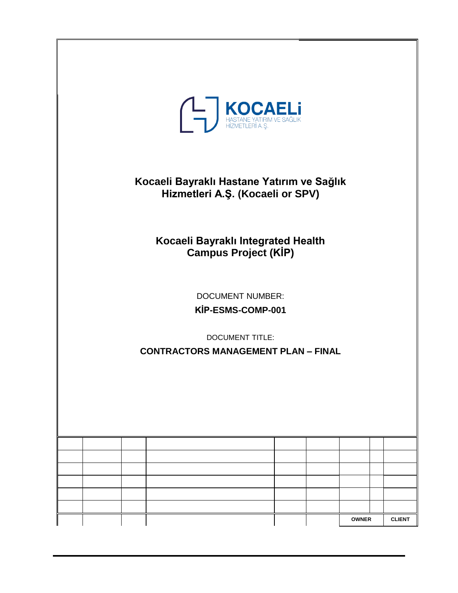| <b>TENETAR PATRIM VE SAĞLIK</b><br>HIZMETLERİ A.Ş.                                                                   |              |               |  |  |  |  |  |  |  |
|----------------------------------------------------------------------------------------------------------------------|--------------|---------------|--|--|--|--|--|--|--|
| Kocaeli Bayraklı Hastane Yatırım ve Sağlık<br>Hizmetleri A.Ş. (Kocaeli or SPV)                                       |              |               |  |  |  |  |  |  |  |
| Kocaeli Bayraklı Integrated Health<br><b>Campus Project (KİP)</b>                                                    |              |               |  |  |  |  |  |  |  |
| <b>DOCUMENT NUMBER:</b><br>KİP-ESMS-COMP-001<br><b>DOCUMENT TITLE:</b><br><b>CONTRACTORS MANAGEMENT PLAN - FINAL</b> |              |               |  |  |  |  |  |  |  |
|                                                                                                                      |              |               |  |  |  |  |  |  |  |
|                                                                                                                      |              |               |  |  |  |  |  |  |  |
|                                                                                                                      |              |               |  |  |  |  |  |  |  |
|                                                                                                                      |              |               |  |  |  |  |  |  |  |
|                                                                                                                      | <b>OWNER</b> | <b>CLIENT</b> |  |  |  |  |  |  |  |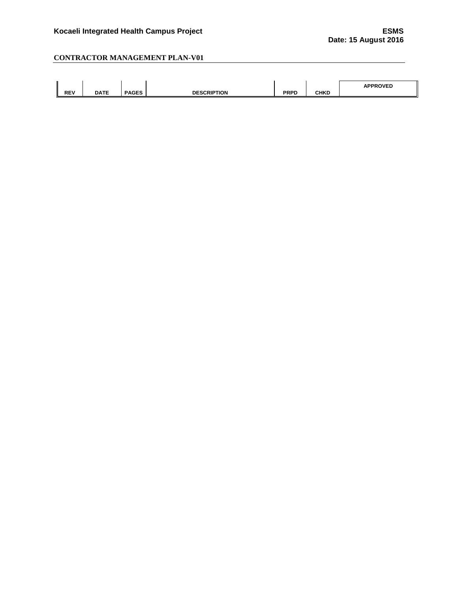| $\bullet$<br><b>REV</b> | <b>DATE</b><br>ᇭᇆ | <b>PAGES</b> | $- - - - - - - - -$<br>DE<br><b>HON</b> | <b>DDDN</b><br>-RPL | <b>CHKD</b> | <b>\PPROVED</b> |
|-------------------------|-------------------|--------------|-----------------------------------------|---------------------|-------------|-----------------|
|                         |                   |              |                                         |                     |             |                 |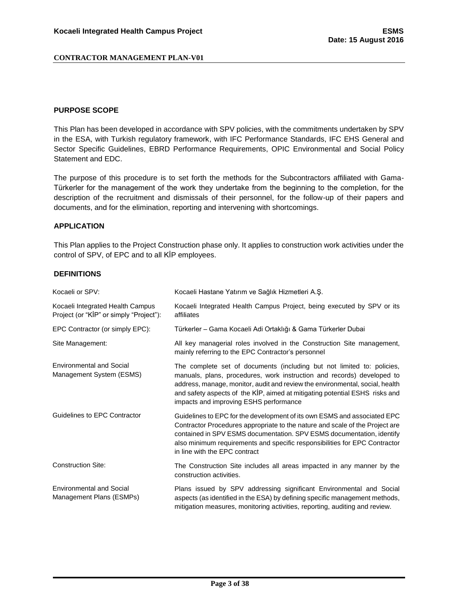#### <span id="page-2-0"></span>**PURPOSE SCOPE**

This Plan has been developed in accordance with SPV policies, with the commitments undertaken by SPV in the ESA, with Turkish regulatory framework, with IFC Performance Standards, IFC EHS General and Sector Specific Guidelines, EBRD Performance Requirements, OPIC Environmental and Social Policy Statement and EDC.

The purpose of this procedure is to set forth the methods for the Subcontractors affiliated with Gama-Türkerler for the management of the work they undertake from the beginning to the completion, for the description of the recruitment and dismissals of their personnel, for the follow-up of their papers and documents, and for the elimination, reporting and intervening with shortcomings.

#### <span id="page-2-1"></span>**APPLICATION**

This Plan applies to the Project Construction phase only. It applies to construction work activities under the control of SPV, of EPC and to all KİP employees.

#### <span id="page-2-2"></span>**DEFINITIONS**

| Kocaeli or SPV:                                                             | Kocaeli Hastane Yatırım ve Sağlık Hizmetleri A.Ş.                                                                                                                                                                                                                                                                                                         |
|-----------------------------------------------------------------------------|-----------------------------------------------------------------------------------------------------------------------------------------------------------------------------------------------------------------------------------------------------------------------------------------------------------------------------------------------------------|
| Kocaeli Integrated Health Campus<br>Project (or "KIP" or simply "Project"): | Kocaeli Integrated Health Campus Project, being executed by SPV or its<br>affiliates                                                                                                                                                                                                                                                                      |
| EPC Contractor (or simply EPC):                                             | Türkerler – Gama Kocaeli Adi Ortaklığı & Gama Türkerler Dubai                                                                                                                                                                                                                                                                                             |
| Site Management:                                                            | All key managerial roles involved in the Construction Site management,<br>mainly referring to the EPC Contractor's personnel                                                                                                                                                                                                                              |
| <b>Environmental and Social</b><br>Management System (ESMS)                 | The complete set of documents (including but not limited to: policies,<br>manuals, plans, procedures, work instruction and records) developed to<br>address, manage, monitor, audit and review the environmental, social, health<br>and safety aspects of the KİP, aimed at mitigating potential ESHS risks and<br>impacts and improving ESHS performance |
| Guidelines to EPC Contractor                                                | Guidelines to EPC for the development of its own ESMS and associated EPC<br>Contractor Procedures appropriate to the nature and scale of the Project are<br>contained in SPV ESMS documentation. SPV ESMS documentation, identify<br>also minimum requirements and specific responsibilities for EPC Contractor<br>in line with the EPC contract          |
| <b>Construction Site:</b>                                                   | The Construction Site includes all areas impacted in any manner by the<br>construction activities.                                                                                                                                                                                                                                                        |
| <b>Environmental and Social</b><br>Management Plans (ESMPs)                 | Plans issued by SPV addressing significant Environmental and Social<br>aspects (as identified in the ESA) by defining specific management methods,<br>mitigation measures, monitoring activities, reporting, auditing and review.                                                                                                                         |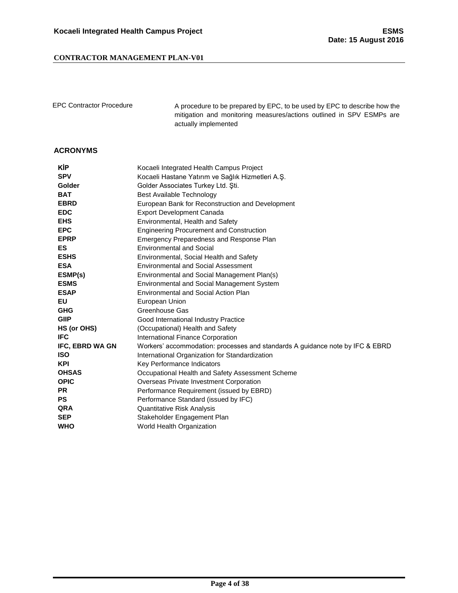EPC Contractor Procedure A procedure to be prepared by EPC, to be used by EPC to describe how the mitigation and monitoring measures/actions outlined in SPV ESMPs are actually implemented

#### <span id="page-3-0"></span>**ACRONYMS**

| <b>KIP</b>      | Kocaeli Integrated Health Campus Project                                      |
|-----------------|-------------------------------------------------------------------------------|
| <b>SPV</b>      | Kocaeli Hastane Yatırım ve Sağlık Hizmetleri A.Ş.                             |
| Golder          | Golder Associates Turkey Ltd. Sti.                                            |
| <b>BAT</b>      | Best Available Technology                                                     |
| <b>EBRD</b>     | European Bank for Reconstruction and Development                              |
| <b>EDC</b>      | <b>Export Development Canada</b>                                              |
| <b>EHS</b>      | Environmental, Health and Safety                                              |
| <b>EPC</b>      | <b>Engineering Procurement and Construction</b>                               |
| <b>EPRP</b>     | Emergency Preparedness and Response Plan                                      |
| ES.             | <b>Environmental and Social</b>                                               |
| <b>ESHS</b>     | Environmental, Social Health and Safety                                       |
| <b>ESA</b>      | <b>Environmental and Social Assessment</b>                                    |
| ESMP(s)         | Environmental and Social Management Plan(s)                                   |
| <b>ESMS</b>     | <b>Environmental and Social Management System</b>                             |
| <b>ESAP</b>     | Environmental and Social Action Plan                                          |
| EU              | European Union                                                                |
| <b>GHG</b>      | Greenhouse Gas                                                                |
| <b>GIIP</b>     | Good International Industry Practice                                          |
| HS (or OHS)     | (Occupational) Health and Safety                                              |
| <b>IFC</b>      | <b>International Finance Corporation</b>                                      |
| IFC, EBRD WA GN | Workers' accommodation: processes and standards A guidance note by IFC & EBRD |
| <b>ISO</b>      | International Organization for Standardization                                |
| <b>KPI</b>      | Key Performance Indicators                                                    |
| <b>OHSAS</b>    | Occupational Health and Safety Assessment Scheme                              |
| <b>OPIC</b>     | Overseas Private Investment Corporation                                       |
| <b>PR</b>       | Performance Requirement (issued by EBRD)                                      |
| <b>PS</b>       | Performance Standard (issued by IFC)                                          |
| <b>QRA</b>      | <b>Quantitative Risk Analysis</b>                                             |
| <b>SEP</b>      | Stakeholder Engagement Plan                                                   |
| <b>WHO</b>      | World Health Organization                                                     |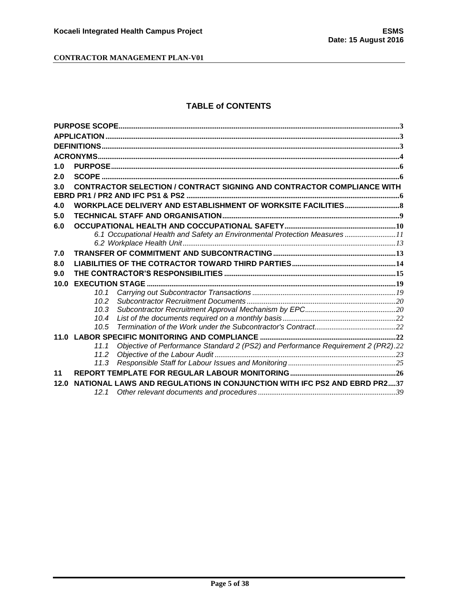## **TABLE of CONTENTS**

| 1.0  |      |                                                                                  |  |
|------|------|----------------------------------------------------------------------------------|--|
| 2.0  |      |                                                                                  |  |
| 3.0  |      | <b>CONTRACTOR SELECTION / CONTRACT SIGNING AND CONTRACTOR COMPLIANCE WITH</b>    |  |
|      |      |                                                                                  |  |
| 4.0  |      |                                                                                  |  |
| 5.0  |      |                                                                                  |  |
| 6.0  |      |                                                                                  |  |
|      |      | 6.1 Occupational Health and Safety an Environmental Protection Measures11        |  |
|      |      |                                                                                  |  |
| 7.0  |      |                                                                                  |  |
| 8.0  |      |                                                                                  |  |
| 9.0  |      |                                                                                  |  |
| 10.0 |      |                                                                                  |  |
|      | 10.1 |                                                                                  |  |
|      | 10.2 |                                                                                  |  |
|      | 10.3 |                                                                                  |  |
|      | 10.4 |                                                                                  |  |
|      | 10.5 |                                                                                  |  |
|      |      |                                                                                  |  |
|      | 11.1 | Objective of Performance Standard 2 (PS2) and Performance Requirement 2 (PR2).22 |  |
|      | 11.2 |                                                                                  |  |
|      | 11.3 |                                                                                  |  |
| 11   |      |                                                                                  |  |
| 12.0 |      | NATIONAL LAWS AND REGULATIONS IN CONJUNCTION WITH IFC PS2 AND EBRD PR237         |  |
|      | 12.1 |                                                                                  |  |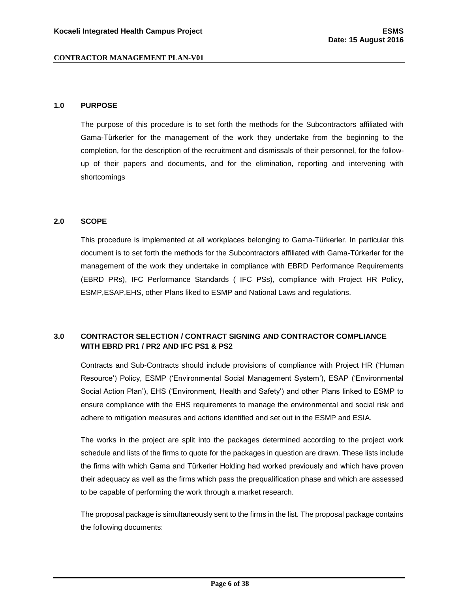#### <span id="page-5-0"></span>**1.0 PURPOSE**

The purpose of this procedure is to set forth the methods for the Subcontractors affiliated with Gama-Türkerler for the management of the work they undertake from the beginning to the completion, for the description of the recruitment and dismissals of their personnel, for the followup of their papers and documents, and for the elimination, reporting and intervening with shortcomings

#### <span id="page-5-1"></span>**2.0 SCOPE**

This procedure is implemented at all workplaces belonging to Gama-Türkerler. In particular this document is to set forth the methods for the Subcontractors affiliated with Gama-Türkerler for the management of the work they undertake in compliance with EBRD Performance Requirements (EBRD PRs), IFC Performance Standards ( IFC PSs), compliance with Project HR Policy, ESMP,ESAP,EHS, other Plans liked to ESMP and National Laws and regulations.

## <span id="page-5-2"></span>**3.0 CONTRACTOR SELECTION / CONTRACT SIGNING AND CONTRACTOR COMPLIANCE WITH EBRD PR1 / PR2 AND IFC PS1 & PS2**

Contracts and Sub-Contracts should include provisions of compliance with Project HR ('Human Resource') Policy, ESMP ('Environmental Social Management System'), ESAP ('Environmental Social Action Plan'), EHS ('Environment, Health and Safety') and other Plans linked to ESMP to ensure compliance with the EHS requirements to manage the environmental and social risk and adhere to mitigation measures and actions identified and set out in the ESMP and ESIA.

The works in the project are split into the packages determined according to the project work schedule and lists of the firms to quote for the packages in question are drawn. These lists include the firms with which Gama and Türkerler Holding had worked previously and which have proven their adequacy as well as the firms which pass the prequalification phase and which are assessed to be capable of performing the work through a market research.

The proposal package is simultaneously sent to the firms in the list. The proposal package contains the following documents: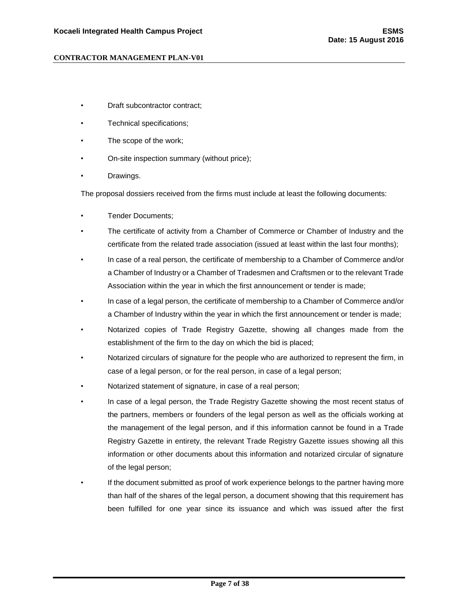- Draft subcontractor contract;
- Technical specifications;
- The scope of the work;
- On-site inspection summary (without price);
- Drawings.

The proposal dossiers received from the firms must include at least the following documents:

- Tender Documents;
- The certificate of activity from a Chamber of Commerce or Chamber of Industry and the certificate from the related trade association (issued at least within the last four months);
- In case of a real person, the certificate of membership to a Chamber of Commerce and/or a Chamber of Industry or a Chamber of Tradesmen and Craftsmen or to the relevant Trade Association within the year in which the first announcement or tender is made;
- In case of a legal person, the certificate of membership to a Chamber of Commerce and/or a Chamber of Industry within the year in which the first announcement or tender is made;
- Notarized copies of Trade Registry Gazette, showing all changes made from the establishment of the firm to the day on which the bid is placed;
- Notarized circulars of signature for the people who are authorized to represent the firm, in case of a legal person, or for the real person, in case of a legal person;
- Notarized statement of signature, in case of a real person;
- In case of a legal person, the Trade Registry Gazette showing the most recent status of the partners, members or founders of the legal person as well as the officials working at the management of the legal person, and if this information cannot be found in a Trade Registry Gazette in entirety, the relevant Trade Registry Gazette issues showing all this information or other documents about this information and notarized circular of signature of the legal person;
- If the document submitted as proof of work experience belongs to the partner having more than half of the shares of the legal person, a document showing that this requirement has been fulfilled for one year since its issuance and which was issued after the first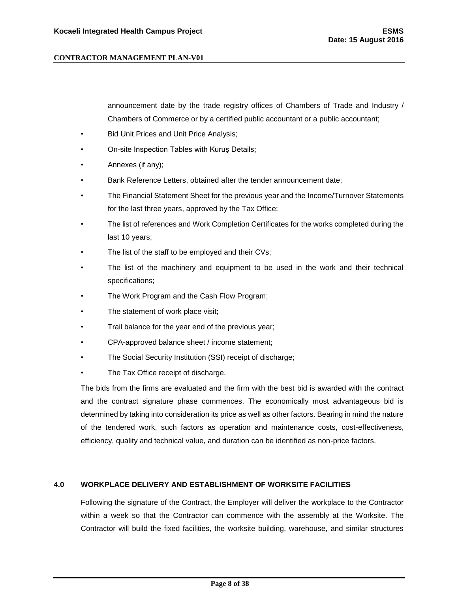announcement date by the trade registry offices of Chambers of Trade and Industry / Chambers of Commerce or by a certified public accountant or a public accountant;

- **Bid Unit Prices and Unit Price Analysis;**
- On-site Inspection Tables with Kuruş Details;
- Annexes (if any);
- Bank Reference Letters, obtained after the tender announcement date;
- The Financial Statement Sheet for the previous year and the Income/Turnover Statements for the last three years, approved by the Tax Office;
- The list of references and Work Completion Certificates for the works completed during the last 10 years;
- The list of the staff to be employed and their CVs;
- The list of the machinery and equipment to be used in the work and their technical specifications;
- The Work Program and the Cash Flow Program;
- The statement of work place visit;
- Trail balance for the year end of the previous year;
- CPA-approved balance sheet / income statement;
- The Social Security Institution (SSI) receipt of discharge;
- The Tax Office receipt of discharge.

The bids from the firms are evaluated and the firm with the best bid is awarded with the contract and the contract signature phase commences. The economically most advantageous bid is determined by taking into consideration its price as well as other factors. Bearing in mind the nature of the tendered work, such factors as operation and maintenance costs, cost-effectiveness, efficiency, quality and technical value, and duration can be identified as non-price factors.

#### <span id="page-7-0"></span>**4.0 WORKPLACE DELIVERY AND ESTABLISHMENT OF WORKSITE FACILITIES**

Following the signature of the Contract, the Employer will deliver the workplace to the Contractor within a week so that the Contractor can commence with the assembly at the Worksite. The Contractor will build the fixed facilities, the worksite building, warehouse, and similar structures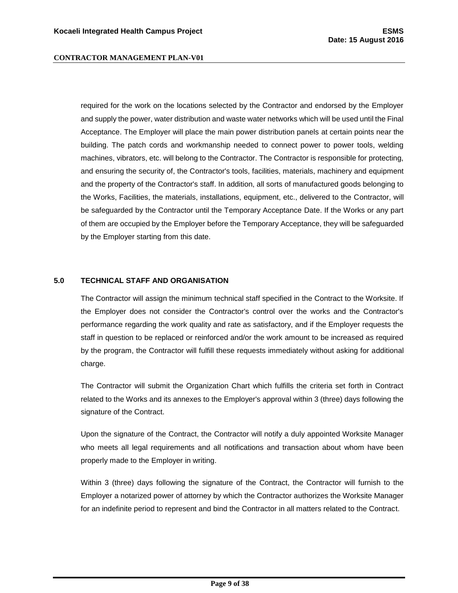required for the work on the locations selected by the Contractor and endorsed by the Employer and supply the power, water distribution and waste water networks which will be used until the Final Acceptance. The Employer will place the main power distribution panels at certain points near the building. The patch cords and workmanship needed to connect power to power tools, welding machines, vibrators, etc. will belong to the Contractor. The Contractor is responsible for protecting, and ensuring the security of, the Contractor's tools, facilities, materials, machinery and equipment and the property of the Contractor's staff. In addition, all sorts of manufactured goods belonging to the Works, Facilities, the materials, installations, equipment, etc., delivered to the Contractor, will be safeguarded by the Contractor until the Temporary Acceptance Date. If the Works or any part of them are occupied by the Employer before the Temporary Acceptance, they will be safeguarded by the Employer starting from this date.

#### <span id="page-8-0"></span>**5.0 TECHNICAL STAFF AND ORGANISATION**

The Contractor will assign the minimum technical staff specified in the Contract to the Worksite. If the Employer does not consider the Contractor's control over the works and the Contractor's performance regarding the work quality and rate as satisfactory, and if the Employer requests the staff in question to be replaced or reinforced and/or the work amount to be increased as required by the program, the Contractor will fulfill these requests immediately without asking for additional charge.

The Contractor will submit the Organization Chart which fulfills the criteria set forth in Contract related to the Works and its annexes to the Employer's approval within 3 (three) days following the signature of the Contract.

Upon the signature of the Contract, the Contractor will notify a duly appointed Worksite Manager who meets all legal requirements and all notifications and transaction about whom have been properly made to the Employer in writing.

Within 3 (three) days following the signature of the Contract, the Contractor will furnish to the Employer a notarized power of attorney by which the Contractor authorizes the Worksite Manager for an indefinite period to represent and bind the Contractor in all matters related to the Contract.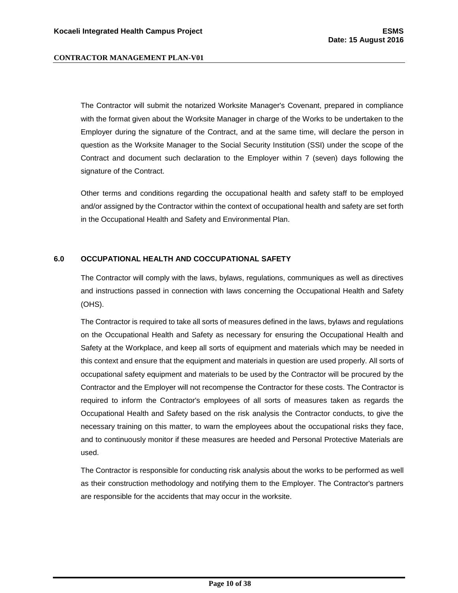The Contractor will submit the notarized Worksite Manager's Covenant, prepared in compliance with the format given about the Worksite Manager in charge of the Works to be undertaken to the Employer during the signature of the Contract, and at the same time, will declare the person in question as the Worksite Manager to the Social Security Institution (SSI) under the scope of the Contract and document such declaration to the Employer within 7 (seven) days following the signature of the Contract.

Other terms and conditions regarding the occupational health and safety staff to be employed and/or assigned by the Contractor within the context of occupational health and safety are set forth in the Occupational Health and Safety and Environmental Plan.

#### <span id="page-9-0"></span>**6.0 OCCUPATIONAL HEALTH AND COCCUPATIONAL SAFETY**

The Contractor will comply with the laws, bylaws, regulations, communiques as well as directives and instructions passed in connection with laws concerning the Occupational Health and Safety (OHS).

The Contractor is required to take all sorts of measures defined in the laws, bylaws and regulations on the Occupational Health and Safety as necessary for ensuring the Occupational Health and Safety at the Workplace, and keep all sorts of equipment and materials which may be needed in this context and ensure that the equipment and materials in question are used properly. All sorts of occupational safety equipment and materials to be used by the Contractor will be procured by the Contractor and the Employer will not recompense the Contractor for these costs. The Contractor is required to inform the Contractor's employees of all sorts of measures taken as regards the Occupational Health and Safety based on the risk analysis the Contractor conducts, to give the necessary training on this matter, to warn the employees about the occupational risks they face, and to continuously monitor if these measures are heeded and Personal Protective Materials are used.

The Contractor is responsible for conducting risk analysis about the works to be performed as well as their construction methodology and notifying them to the Employer. The Contractor's partners are responsible for the accidents that may occur in the worksite.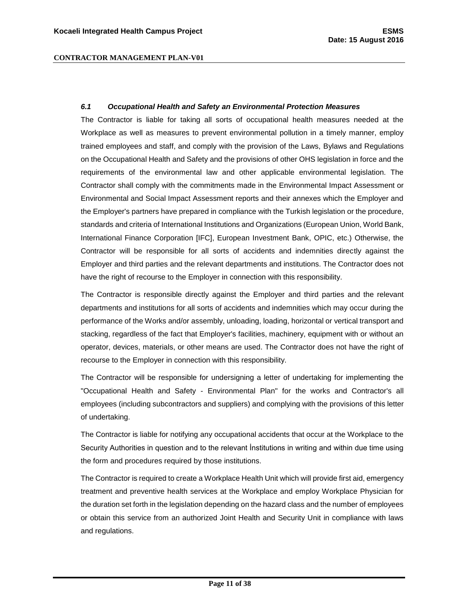#### <span id="page-10-0"></span>*6.1 Occupational Health and Safety an Environmental Protection Measures*

The Contractor is liable for taking all sorts of occupational health measures needed at the Workplace as well as measures to prevent environmental pollution in a timely manner, employ trained employees and staff, and comply with the provision of the Laws, Bylaws and Regulations on the Occupational Health and Safety and the provisions of other OHS legislation in force and the requirements of the environmental law and other applicable environmental legislation. The Contractor shall comply with the commitments made in the Environmental Impact Assessment or Environmental and Social Impact Assessment reports and their annexes which the Employer and the Employer's partners have prepared in compliance with the Turkish legislation or the procedure, standards and criteria of International Institutions and Organizations (European Union, World Bank, International Finance Corporation [IFC], European Investment Bank, OPIC, etc.) Otherwise, the Contractor will be responsible for all sorts of accidents and indemnities directly against the Employer and third parties and the relevant departments and institutions. The Contractor does not have the right of recourse to the Employer in connection with this responsibility.

The Contractor is responsible directly against the Employer and third parties and the relevant departments and institutions for all sorts of accidents and indemnities which may occur during the performance of the Works and/or assembly, unloading, loading, horizontal or vertical transport and stacking, regardless of the fact that Employer's facilities, machinery, equipment with or without an operator, devices, materials, or other means are used. The Contractor does not have the right of recourse to the Employer in connection with this responsibility.

The Contractor will be responsible for undersigning a letter of undertaking for implementing the "Occupational Health and Safety - Environmental Plan" for the works and Contractor's all employees (including subcontractors and suppliers) and complying with the provisions of this letter of undertaking.

The Contractor is liable for notifying any occupational accidents that occur at the Workplace to the Security Authorities in question and to the relevant İnstitutions in writing and within due time using the form and procedures required by those institutions.

The Contractor is required to create a Workplace Health Unit which will provide first aid, emergency treatment and preventive health services at the Workplace and employ Workplace Physician for the duration set forth in the legislation depending on the hazard class and the number of employees or obtain this service from an authorized Joint Health and Security Unit in compliance with laws and regulations.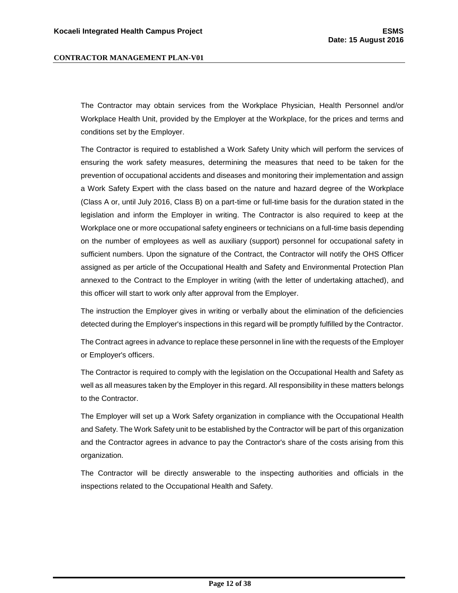The Contractor may obtain services from the Workplace Physician, Health Personnel and/or Workplace Health Unit, provided by the Employer at the Workplace, for the prices and terms and conditions set by the Employer.

The Contractor is required to established a Work Safety Unity which will perform the services of ensuring the work safety measures, determining the measures that need to be taken for the prevention of occupational accidents and diseases and monitoring their implementation and assign a Work Safety Expert with the class based on the nature and hazard degree of the Workplace (Class A or, until July 2016, Class B) on a part-time or full-time basis for the duration stated in the legislation and inform the Employer in writing. The Contractor is also required to keep at the Workplace one or more occupational safety engineers or technicians on a full-time basis depending on the number of employees as well as auxiliary (support) personnel for occupational safety in sufficient numbers. Upon the signature of the Contract, the Contractor will notify the OHS Officer assigned as per article of the Occupational Health and Safety and Environmental Protection Plan annexed to the Contract to the Employer in writing (with the letter of undertaking attached), and this officer will start to work only after approval from the Employer.

The instruction the Employer gives in writing or verbally about the elimination of the deficiencies detected during the Employer's inspections in this regard will be promptly fulfilled by the Contractor.

The Contract agrees in advance to replace these personnel in line with the requests of the Employer or Employer's officers.

The Contractor is required to comply with the legislation on the Occupational Health and Safety as well as all measures taken by the Employer in this regard. All responsibility in these matters belongs to the Contractor.

The Employer will set up a Work Safety organization in compliance with the Occupational Health and Safety. The Work Safety unit to be established by the Contractor will be part of this organization and the Contractor agrees in advance to pay the Contractor's share of the costs arising from this organization.

The Contractor will be directly answerable to the inspecting authorities and officials in the inspections related to the Occupational Health and Safety.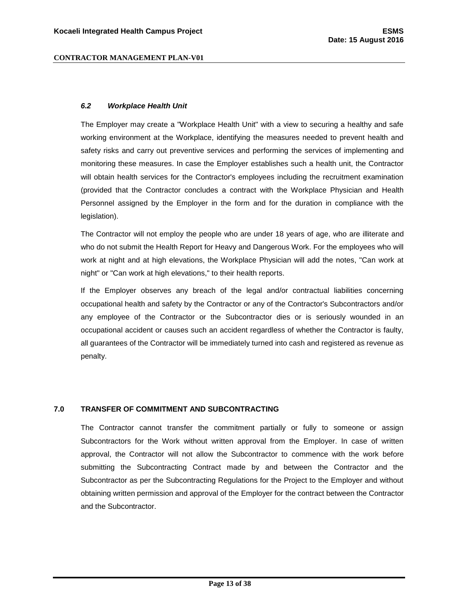#### <span id="page-12-0"></span>*6.2 Workplace Health Unit*

The Employer may create a "Workplace Health Unit" with a view to securing a healthy and safe working environment at the Workplace, identifying the measures needed to prevent health and safety risks and carry out preventive services and performing the services of implementing and monitoring these measures. In case the Employer establishes such a health unit, the Contractor will obtain health services for the Contractor's employees including the recruitment examination (provided that the Contractor concludes a contract with the Workplace Physician and Health Personnel assigned by the Employer in the form and for the duration in compliance with the legislation).

The Contractor will not employ the people who are under 18 years of age, who are illiterate and who do not submit the Health Report for Heavy and Dangerous Work. For the employees who will work at night and at high elevations, the Workplace Physician will add the notes, "Can work at night" or "Can work at high elevations," to their health reports.

If the Employer observes any breach of the legal and/or contractual liabilities concerning occupational health and safety by the Contractor or any of the Contractor's Subcontractors and/or any employee of the Contractor or the Subcontractor dies or is seriously wounded in an occupational accident or causes such an accident regardless of whether the Contractor is faulty, all guarantees of the Contractor will be immediately turned into cash and registered as revenue as penalty.

## <span id="page-12-1"></span>**7.0 TRANSFER OF COMMITMENT AND SUBCONTRACTING**

The Contractor cannot transfer the commitment partially or fully to someone or assign Subcontractors for the Work without written approval from the Employer. In case of written approval, the Contractor will not allow the Subcontractor to commence with the work before submitting the Subcontracting Contract made by and between the Contractor and the Subcontractor as per the Subcontracting Regulations for the Project to the Employer and without obtaining written permission and approval of the Employer for the contract between the Contractor and the Subcontractor.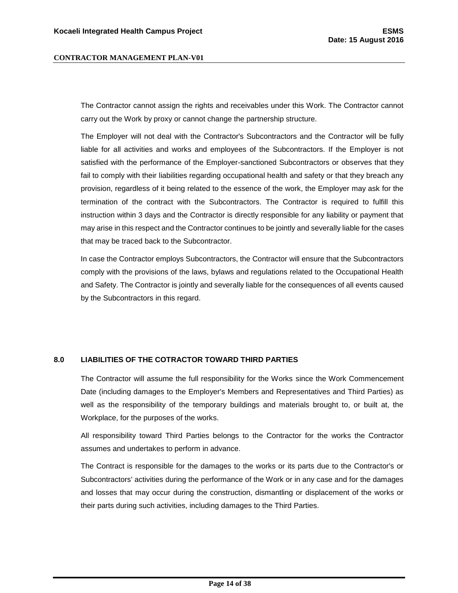The Contractor cannot assign the rights and receivables under this Work. The Contractor cannot carry out the Work by proxy or cannot change the partnership structure.

The Employer will not deal with the Contractor's Subcontractors and the Contractor will be fully liable for all activities and works and employees of the Subcontractors. If the Employer is not satisfied with the performance of the Employer-sanctioned Subcontractors or observes that they fail to comply with their liabilities regarding occupational health and safety or that they breach any provision, regardless of it being related to the essence of the work, the Employer may ask for the termination of the contract with the Subcontractors. The Contractor is required to fulfill this instruction within 3 days and the Contractor is directly responsible for any liability or payment that may arise in this respect and the Contractor continues to be jointly and severally liable for the cases that may be traced back to the Subcontractor.

In case the Contractor employs Subcontractors, the Contractor will ensure that the Subcontractors comply with the provisions of the laws, bylaws and regulations related to the Occupational Health and Safety. The Contractor is jointly and severally liable for the consequences of all events caused by the Subcontractors in this regard.

#### <span id="page-13-0"></span>**8.0 LIABILITIES OF THE COTRACTOR TOWARD THIRD PARTIES**

The Contractor will assume the full responsibility for the Works since the Work Commencement Date (including damages to the Employer's Members and Representatives and Third Parties) as well as the responsibility of the temporary buildings and materials brought to, or built at, the Workplace, for the purposes of the works.

All responsibility toward Third Parties belongs to the Contractor for the works the Contractor assumes and undertakes to perform in advance.

The Contract is responsible for the damages to the works or its parts due to the Contractor's or Subcontractors' activities during the performance of the Work or in any case and for the damages and losses that may occur during the construction, dismantling or displacement of the works or their parts during such activities, including damages to the Third Parties.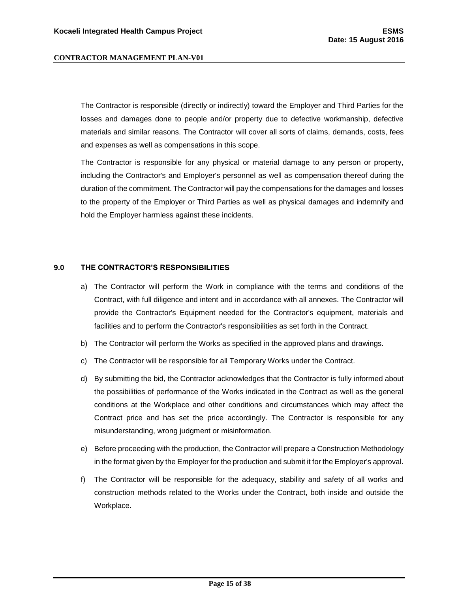The Contractor is responsible (directly or indirectly) toward the Employer and Third Parties for the losses and damages done to people and/or property due to defective workmanship, defective materials and similar reasons. The Contractor will cover all sorts of claims, demands, costs, fees and expenses as well as compensations in this scope.

The Contractor is responsible for any physical or material damage to any person or property, including the Contractor's and Employer's personnel as well as compensation thereof during the duration of the commitment. The Contractor will pay the compensations for the damages and losses to the property of the Employer or Third Parties as well as physical damages and indemnify and hold the Employer harmless against these incidents.

#### <span id="page-14-0"></span>**9.0 THE CONTRACTOR'S RESPONSIBILITIES**

- a) The Contractor will perform the Work in compliance with the terms and conditions of the Contract, with full diligence and intent and in accordance with all annexes. The Contractor will provide the Contractor's Equipment needed for the Contractor's equipment, materials and facilities and to perform the Contractor's responsibilities as set forth in the Contract.
- b) The Contractor will perform the Works as specified in the approved plans and drawings.
- c) The Contractor will be responsible for all Temporary Works under the Contract.
- d) By submitting the bid, the Contractor acknowledges that the Contractor is fully informed about the possibilities of performance of the Works indicated in the Contract as well as the general conditions at the Workplace and other conditions and circumstances which may affect the Contract price and has set the price accordingly. The Contractor is responsible for any misunderstanding, wrong judgment or misinformation.
- e) Before proceeding with the production, the Contractor will prepare a Construction Methodology in the format given by the Employer for the production and submit it for the Employer's approval.
- f) The Contractor will be responsible for the adequacy, stability and safety of all works and construction methods related to the Works under the Contract, both inside and outside the Workplace.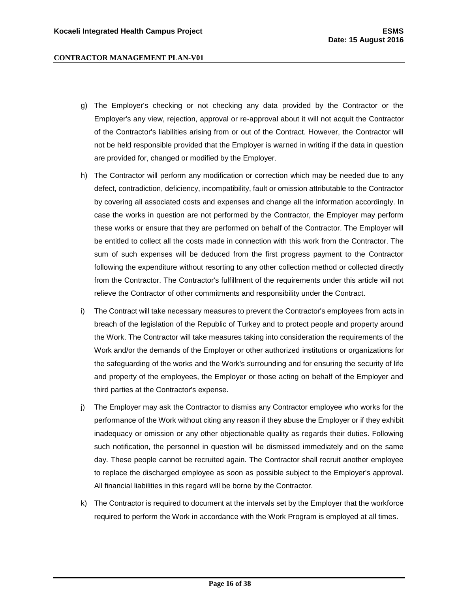- g) The Employer's checking or not checking any data provided by the Contractor or the Employer's any view, rejection, approval or re-approval about it will not acquit the Contractor of the Contractor's liabilities arising from or out of the Contract. However, the Contractor will not be held responsible provided that the Employer is warned in writing if the data in question are provided for, changed or modified by the Employer.
- h) The Contractor will perform any modification or correction which may be needed due to any defect, contradiction, deficiency, incompatibility, fault or omission attributable to the Contractor by covering all associated costs and expenses and change all the information accordingly. In case the works in question are not performed by the Contractor, the Employer may perform these works or ensure that they are performed on behalf of the Contractor. The Employer will be entitled to collect all the costs made in connection with this work from the Contractor. The sum of such expenses will be deduced from the first progress payment to the Contractor following the expenditure without resorting to any other collection method or collected directly from the Contractor. The Contractor's fulfillment of the requirements under this article will not relieve the Contractor of other commitments and responsibility under the Contract.
- i) The Contract will take necessary measures to prevent the Contractor's employees from acts in breach of the legislation of the Republic of Turkey and to protect people and property around the Work. The Contractor will take measures taking into consideration the requirements of the Work and/or the demands of the Employer or other authorized institutions or organizations for the safeguarding of the works and the Work's surrounding and for ensuring the security of life and property of the employees, the Employer or those acting on behalf of the Employer and third parties at the Contractor's expense.
- j) The Employer may ask the Contractor to dismiss any Contractor employee who works for the performance of the Work without citing any reason if they abuse the Employer or if they exhibit inadequacy or omission or any other objectionable quality as regards their duties. Following such notification, the personnel in question will be dismissed immediately and on the same day. These people cannot be recruited again. The Contractor shall recruit another employee to replace the discharged employee as soon as possible subject to the Employer's approval. All financial liabilities in this regard will be borne by the Contractor.
- k) The Contractor is required to document at the intervals set by the Employer that the workforce required to perform the Work in accordance with the Work Program is employed at all times.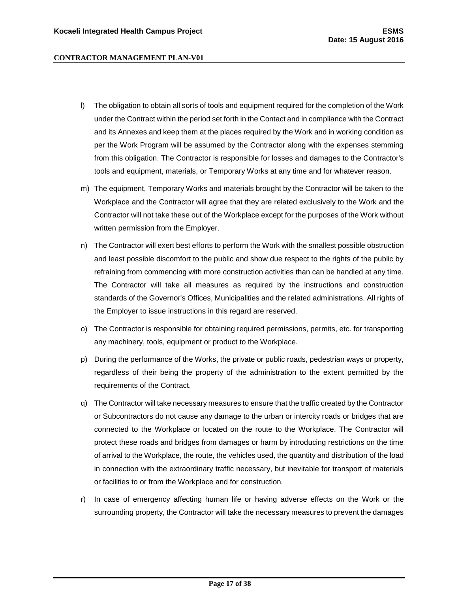- l) The obligation to obtain all sorts of tools and equipment required for the completion of the Work under the Contract within the period set forth in the Contact and in compliance with the Contract and its Annexes and keep them at the places required by the Work and in working condition as per the Work Program will be assumed by the Contractor along with the expenses stemming from this obligation. The Contractor is responsible for losses and damages to the Contractor's tools and equipment, materials, or Temporary Works at any time and for whatever reason.
- m) The equipment, Temporary Works and materials brought by the Contractor will be taken to the Workplace and the Contractor will agree that they are related exclusively to the Work and the Contractor will not take these out of the Workplace except for the purposes of the Work without written permission from the Employer.
- n) The Contractor will exert best efforts to perform the Work with the smallest possible obstruction and least possible discomfort to the public and show due respect to the rights of the public by refraining from commencing with more construction activities than can be handled at any time. The Contractor will take all measures as required by the instructions and construction standards of the Governor's Offices, Municipalities and the related administrations. All rights of the Employer to issue instructions in this regard are reserved.
- o) The Contractor is responsible for obtaining required permissions, permits, etc. for transporting any machinery, tools, equipment or product to the Workplace.
- p) During the performance of the Works, the private or public roads, pedestrian ways or property, regardless of their being the property of the administration to the extent permitted by the requirements of the Contract.
- q) The Contractor will take necessary measures to ensure that the traffic created by the Contractor or Subcontractors do not cause any damage to the urban or intercity roads or bridges that are connected to the Workplace or located on the route to the Workplace. The Contractor will protect these roads and bridges from damages or harm by introducing restrictions on the time of arrival to the Workplace, the route, the vehicles used, the quantity and distribution of the load in connection with the extraordinary traffic necessary, but inevitable for transport of materials or facilities to or from the Workplace and for construction.
- r) In case of emergency affecting human life or having adverse effects on the Work or the surrounding property, the Contractor will take the necessary measures to prevent the damages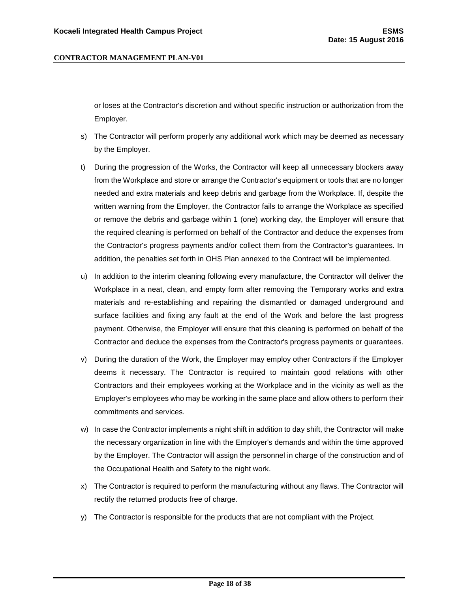or loses at the Contractor's discretion and without specific instruction or authorization from the Employer.

- s) The Contractor will perform properly any additional work which may be deemed as necessary by the Employer.
- t) During the progression of the Works, the Contractor will keep all unnecessary blockers away from the Workplace and store or arrange the Contractor's equipment or tools that are no longer needed and extra materials and keep debris and garbage from the Workplace. If, despite the written warning from the Employer, the Contractor fails to arrange the Workplace as specified or remove the debris and garbage within 1 (one) working day, the Employer will ensure that the required cleaning is performed on behalf of the Contractor and deduce the expenses from the Contractor's progress payments and/or collect them from the Contractor's guarantees. In addition, the penalties set forth in OHS Plan annexed to the Contract will be implemented.
- u) In addition to the interim cleaning following every manufacture, the Contractor will deliver the Workplace in a neat, clean, and empty form after removing the Temporary works and extra materials and re-establishing and repairing the dismantled or damaged underground and surface facilities and fixing any fault at the end of the Work and before the last progress payment. Otherwise, the Employer will ensure that this cleaning is performed on behalf of the Contractor and deduce the expenses from the Contractor's progress payments or guarantees.
- v) During the duration of the Work, the Employer may employ other Contractors if the Employer deems it necessary. The Contractor is required to maintain good relations with other Contractors and their employees working at the Workplace and in the vicinity as well as the Employer's employees who may be working in the same place and allow others to perform their commitments and services.
- w) In case the Contractor implements a night shift in addition to day shift, the Contractor will make the necessary organization in line with the Employer's demands and within the time approved by the Employer. The Contractor will assign the personnel in charge of the construction and of the Occupational Health and Safety to the night work.
- x) The Contractor is required to perform the manufacturing without any flaws. The Contractor will rectify the returned products free of charge.
- y) The Contractor is responsible for the products that are not compliant with the Project.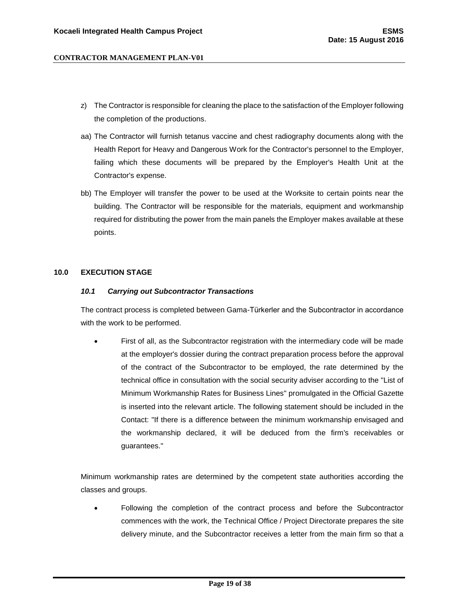- z) The Contractor is responsible for cleaning the place to the satisfaction of the Employer following the completion of the productions.
- aa) The Contractor will furnish tetanus vaccine and chest radiography documents along with the Health Report for Heavy and Dangerous Work for the Contractor's personnel to the Employer, failing which these documents will be prepared by the Employer's Health Unit at the Contractor's expense.
- bb) The Employer will transfer the power to be used at the Worksite to certain points near the building. The Contractor will be responsible for the materials, equipment and workmanship required for distributing the power from the main panels the Employer makes available at these points.

## <span id="page-18-1"></span><span id="page-18-0"></span>**10.0 EXECUTION STAGE**

#### *10.1 Carrying out Subcontractor Transactions*

The contract process is completed between Gama-Türkerler and the Subcontractor in accordance with the work to be performed.

 First of all, as the Subcontractor registration with the intermediary code will be made at the employer's dossier during the contract preparation process before the approval of the contract of the Subcontractor to be employed, the rate determined by the technical office in consultation with the social security adviser according to the "List of Minimum Workmanship Rates for Business Lines" promulgated in the Official Gazette is inserted into the relevant article. The following statement should be included in the Contact: "If there is a difference between the minimum workmanship envisaged and the workmanship declared, it will be deduced from the firm's receivables or guarantees."

Minimum workmanship rates are determined by the competent state authorities according the classes and groups.

 Following the completion of the contract process and before the Subcontractor commences with the work, the Technical Office / Project Directorate prepares the site delivery minute, and the Subcontractor receives a letter from the main firm so that a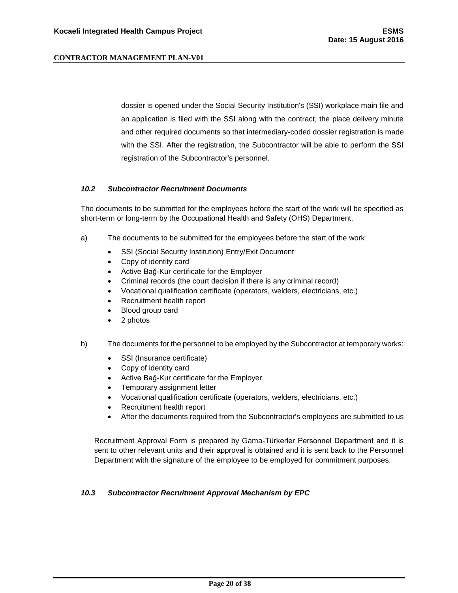dossier is opened under the Social Security Institution's (SSI) workplace main file and an application is filed with the SSI along with the contract, the place delivery minute and other required documents so that intermediary-coded dossier registration is made with the SSI. After the registration, the Subcontractor will be able to perform the SSI registration of the Subcontractor's personnel.

#### <span id="page-19-0"></span>*10.2 Subcontractor Recruitment Documents*

The documents to be submitted for the employees before the start of the work will be specified as short-term or long-term by the Occupational Health and Safety (OHS) Department.

- a) The documents to be submitted for the employees before the start of the work:
	- SSI (Social Security Institution) Entry/Exit Document
	- Copy of identity card
	- Active Bağ-Kur certificate for the Employer
	- Criminal records (the court decision if there is any criminal record)
	- Vocational qualification certificate (operators, welders, electricians, etc.)
	- Recruitment health report
	- Blood group card
	- 2 photos
- b) The documents for the personnel to be employed by the Subcontractor at temporary works:
	- SSI (Insurance certificate)
	- Copy of identity card
	- Active Bağ-Kur certificate for the Employer
	- Temporary assignment letter
	- Vocational qualification certificate (operators, welders, electricians, etc.)
	- Recruitment health report
	- After the documents required from the Subcontractor's employees are submitted to us

Recruitment Approval Form is prepared by Gama-Türkerler Personnel Department and it is sent to other relevant units and their approval is obtained and it is sent back to the Personnel Department with the signature of the employee to be employed for commitment purposes.

#### <span id="page-19-1"></span>*10.3 Subcontractor Recruitment Approval Mechanism by EPC*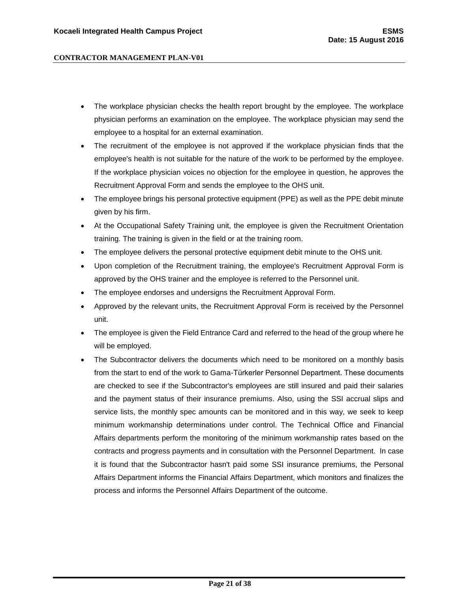- The workplace physician checks the health report brought by the employee. The workplace physician performs an examination on the employee. The workplace physician may send the employee to a hospital for an external examination.
- The recruitment of the employee is not approved if the workplace physician finds that the employee's health is not suitable for the nature of the work to be performed by the employee. If the workplace physician voices no objection for the employee in question, he approves the Recruitment Approval Form and sends the employee to the OHS unit.
- The employee brings his personal protective equipment (PPE) as well as the PPE debit minute given by his firm.
- At the Occupational Safety Training unit, the employee is given the Recruitment Orientation training. The training is given in the field or at the training room.
- The employee delivers the personal protective equipment debit minute to the OHS unit.
- Upon completion of the Recruitment training, the employee's Recruitment Approval Form is approved by the OHS trainer and the employee is referred to the Personnel unit.
- The employee endorses and undersigns the Recruitment Approval Form.
- Approved by the relevant units, the Recruitment Approval Form is received by the Personnel unit.
- The employee is given the Field Entrance Card and referred to the head of the group where he will be employed.
- The Subcontractor delivers the documents which need to be monitored on a monthly basis from the start to end of the work to Gama-Türkerler Personnel Department. These documents are checked to see if the Subcontractor's employees are still insured and paid their salaries and the payment status of their insurance premiums. Also, using the SSI accrual slips and service lists, the monthly spec amounts can be monitored and in this way, we seek to keep minimum workmanship determinations under control. The Technical Office and Financial Affairs departments perform the monitoring of the minimum workmanship rates based on the contracts and progress payments and in consultation with the Personnel Department. In case it is found that the Subcontractor hasn't paid some SSI insurance premiums, the Personal Affairs Department informs the Financial Affairs Department, which monitors and finalizes the process and informs the Personnel Affairs Department of the outcome.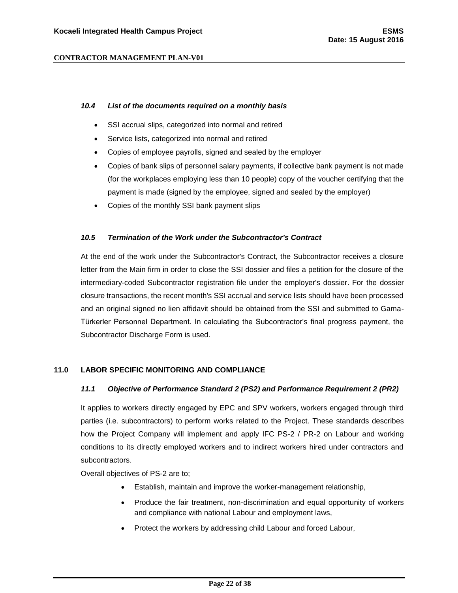#### <span id="page-21-0"></span>*10.4 List of the documents required on a monthly basis*

- SSI accrual slips, categorized into normal and retired
- Service lists, categorized into normal and retired
- Copies of employee payrolls, signed and sealed by the employer
- Copies of bank slips of personnel salary payments, if collective bank payment is not made (for the workplaces employing less than 10 people) copy of the voucher certifying that the payment is made (signed by the employee, signed and sealed by the employer)
- Copies of the monthly SSI bank payment slips

#### <span id="page-21-1"></span>*10.5 Termination of the Work under the Subcontractor's Contract*

At the end of the work under the Subcontractor's Contract, the Subcontractor receives a closure letter from the Main firm in order to close the SSI dossier and files a petition for the closure of the intermediary-coded Subcontractor registration file under the employer's dossier. For the dossier closure transactions, the recent month's SSI accrual and service lists should have been processed and an original signed no lien affidavit should be obtained from the SSI and submitted to Gama-Türkerler Personnel Department. In calculating the Subcontractor's final progress payment, the Subcontractor Discharge Form is used.

#### <span id="page-21-3"></span><span id="page-21-2"></span>**11.0 LABOR SPECIFIC MONITORING AND COMPLIANCE**

#### *11.1 Objective of Performance Standard 2 (PS2) and Performance Requirement 2 (PR2)*

It applies to workers directly engaged by EPC and SPV workers, workers engaged through third parties (i.e. subcontractors) to perform works related to the Project. These standards describes how the Project Company will implement and apply IFC PS-2 / PR-2 on Labour and working conditions to its directly employed workers and to indirect workers hired under contractors and subcontractors.

Overall objectives of PS-2 are to;

- Establish, maintain and improve the worker-management relationship,
- Produce the fair treatment, non-discrimination and equal opportunity of workers and compliance with national Labour and employment laws,
- Protect the workers by addressing child Labour and forced Labour,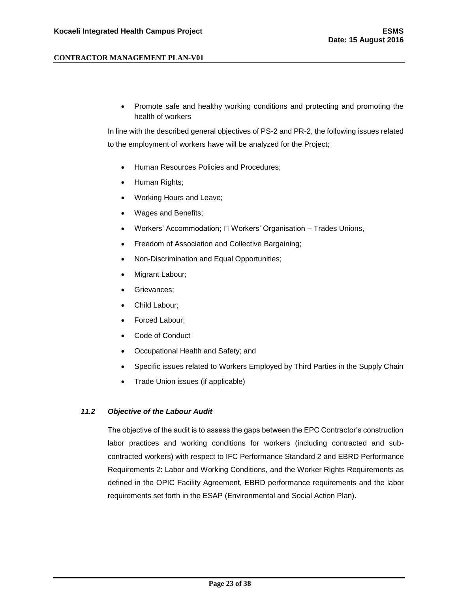Promote safe and healthy working conditions and protecting and promoting the health of workers

In line with the described general objectives of PS-2 and PR-2, the following issues related to the employment of workers have will be analyzed for the Project;

- Human Resources Policies and Procedures;
- Human Rights;
- Working Hours and Leave;
- Wages and Benefits;
- Workers' Accommodation;  $\square$  Workers' Organisation Trades Unions,
- Freedom of Association and Collective Bargaining;
- Non-Discrimination and Equal Opportunities;
- Migrant Labour;
- Grievances;
- Child Labour;
- Forced Labour;
- Code of Conduct
- Occupational Health and Safety; and
- Specific issues related to Workers Employed by Third Parties in the Supply Chain
- Trade Union issues (if applicable)

## <span id="page-22-0"></span>*11.2 Objective of the Labour Audit*

The objective of the audit is to assess the gaps between the EPC Contractor's construction labor practices and working conditions for workers (including contracted and subcontracted workers) with respect to IFC Performance Standard 2 and EBRD Performance Requirements 2: Labor and Working Conditions, and the Worker Rights Requirements as defined in the OPIC Facility Agreement, EBRD performance requirements and the labor requirements set forth in the ESAP (Environmental and Social Action Plan).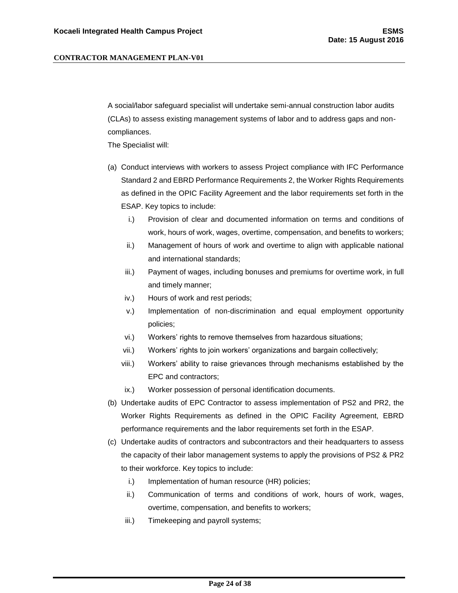A social/labor safeguard specialist will undertake semi-annual construction labor audits (CLAs) to assess existing management systems of labor and to address gaps and noncompliances.

The Specialist will:

- (a) Conduct interviews with workers to assess Project compliance with IFC Performance Standard 2 and EBRD Performance Requirements 2, the Worker Rights Requirements as defined in the OPIC Facility Agreement and the labor requirements set forth in the ESAP. Key topics to include:
	- i.) Provision of clear and documented information on terms and conditions of work, hours of work, wages, overtime, compensation, and benefits to workers;
	- ii.) Management of hours of work and overtime to align with applicable national and international standards;
	- iii.) Payment of wages, including bonuses and premiums for overtime work, in full and timely manner;
	- iv.) Hours of work and rest periods;
	- v.) Implementation of non-discrimination and equal employment opportunity policies;
	- vi.) Workers' rights to remove themselves from hazardous situations;
	- vii.) Workers' rights to join workers' organizations and bargain collectively;
	- viii.) Workers' ability to raise grievances through mechanisms established by the EPC and contractors;
	- ix.) Worker possession of personal identification documents.
- (b) Undertake audits of EPC Contractor to assess implementation of PS2 and PR2, the Worker Rights Requirements as defined in the OPIC Facility Agreement, EBRD performance requirements and the labor requirements set forth in the ESAP.
- (c) Undertake audits of contractors and subcontractors and their headquarters to assess the capacity of their labor management systems to apply the provisions of PS2 & PR2 to their workforce. Key topics to include:
	- i.) Implementation of human resource (HR) policies;
	- ii.) Communication of terms and conditions of work, hours of work, wages, overtime, compensation, and benefits to workers;
	- iii.) Timekeeping and payroll systems;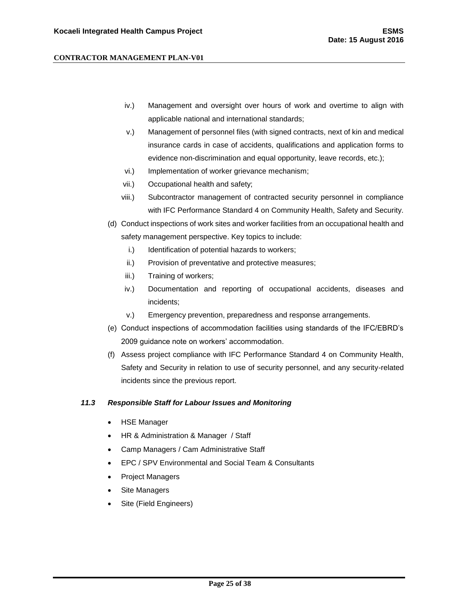- iv.) Management and oversight over hours of work and overtime to align with applicable national and international standards;
- v.) Management of personnel files (with signed contracts, next of kin and medical insurance cards in case of accidents, qualifications and application forms to evidence non-discrimination and equal opportunity, leave records, etc.);
- vi.) Implementation of worker grievance mechanism;
- vii.) Occupational health and safety;
- viii.) Subcontractor management of contracted security personnel in compliance with IFC Performance Standard 4 on Community Health, Safety and Security.
- (d) Conduct inspections of work sites and worker facilities from an occupational health and safety management perspective. Key topics to include:
	- i.) Identification of potential hazards to workers;
	- ii.) Provision of preventative and protective measures;
	- iii.) Training of workers;
	- iv.) Documentation and reporting of occupational accidents, diseases and incidents;
	- v.) Emergency prevention, preparedness and response arrangements.
- (e) Conduct inspections of accommodation facilities using standards of the IFC/EBRD's 2009 guidance note on workers' accommodation.
- (f) Assess project compliance with IFC Performance Standard 4 on Community Health, Safety and Security in relation to use of security personnel, and any security-related incidents since the previous report.

#### <span id="page-24-0"></span>*11.3 Responsible Staff for Labour Issues and Monitoring*

- HSE Manager
- HR & Administration & Manager / Staff
- Camp Managers / Cam Administrative Staff
- EPC / SPV Environmental and Social Team & Consultants
- Project Managers
- Site Managers
- Site (Field Engineers)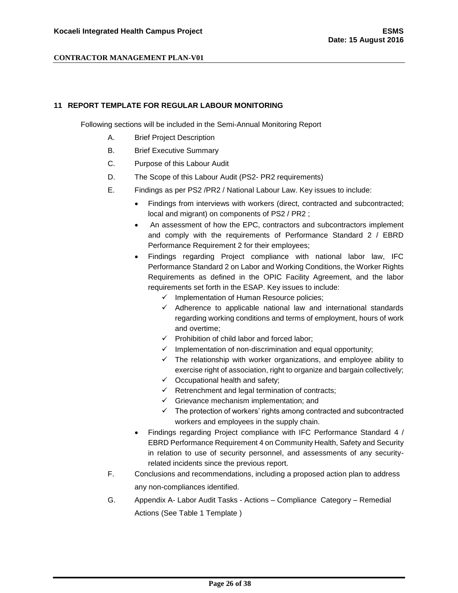#### <span id="page-25-0"></span>**11 REPORT TEMPLATE FOR REGULAR LABOUR MONITORING**

Following sections will be included in the Semi-Annual Monitoring Report

- A. Brief Project Description
- B. Brief Executive Summary
- C. Purpose of this Labour Audit
- D. The Scope of this Labour Audit (PS2- PR2 requirements)
- E. Findings as per PS2 /PR2 / National Labour Law. Key issues to include:
	- Findings from interviews with workers (direct, contracted and subcontracted; local and migrant) on components of PS2 / PR2 ;
	- An assessment of how the EPC, contractors and subcontractors implement and comply with the requirements of Performance Standard 2 / EBRD Performance Requirement 2 for their employees;
	- Findings regarding Project compliance with national labor law, IFC Performance Standard 2 on Labor and Working Conditions, the Worker Rights Requirements as defined in the OPIC Facility Agreement, and the labor requirements set forth in the ESAP. Key issues to include:
		- $\checkmark$  Implementation of Human Resource policies;
		- $\checkmark$  Adherence to applicable national law and international standards regarding working conditions and terms of employment, hours of work and overtime;
		- $\checkmark$  Prohibition of child labor and forced labor:
		- $\checkmark$  Implementation of non-discrimination and equal opportunity;
		- $\checkmark$  The relationship with worker organizations, and employee ability to exercise right of association, right to organize and bargain collectively;
		- $\checkmark$  Occupational health and safety;
		- $\checkmark$  Retrenchment and legal termination of contracts;
		- $\checkmark$  Grievance mechanism implementation; and
		- $\checkmark$  The protection of workers' rights among contracted and subcontracted workers and employees in the supply chain.
	- Findings regarding Project compliance with IFC Performance Standard 4 / EBRD Performance Requirement 4 on Community Health, Safety and Security in relation to use of security personnel, and assessments of any securityrelated incidents since the previous report*.*
- F. Conclusions and recommendations, including a proposed action plan to address any non-compliances identified.
- G. Appendix A- Labor Audit Tasks Actions Compliance Category Remedial Actions (See Table 1 Template )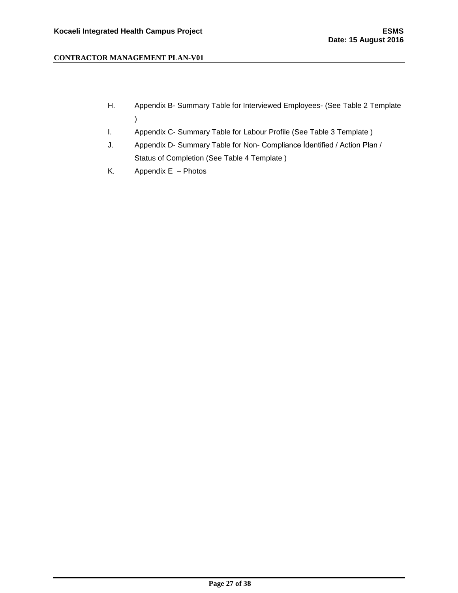- H. Appendix B- Summary Table for Interviewed Employees- (See Table 2 Template )
- I. Appendix C- Summary Table for Labour Profile (See Table 3 Template )
- J. Appendix D- Summary Table for Non- Compliance İdentified / Action Plan / Status of Completion (See Table 4 Template )
- K. Appendix E Photos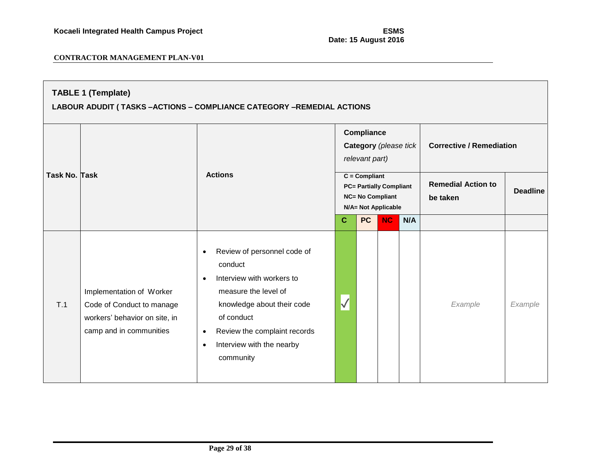| <b>TABLE 1 (Template)</b><br>LABOUR ADUDIT (TASKS -ACTIONS - COMPLIANCE CATEGORY -REMEDIAL ACTIONS |                                                                                                                   |                                                                                                                                                                                                                           |              |                              |                                                                                  |     |                                       |                 |  |
|----------------------------------------------------------------------------------------------------|-------------------------------------------------------------------------------------------------------------------|---------------------------------------------------------------------------------------------------------------------------------------------------------------------------------------------------------------------------|--------------|------------------------------|----------------------------------------------------------------------------------|-----|---------------------------------------|-----------------|--|
|                                                                                                    |                                                                                                                   | <b>Actions</b>                                                                                                                                                                                                            |              | Compliance<br>relevant part) | Category (please tick                                                            |     | <b>Corrective / Remediation</b>       |                 |  |
| <b>Task No. Task</b>                                                                               |                                                                                                                   |                                                                                                                                                                                                                           |              | $C = Compliant$              | <b>PC= Partially Compliant</b><br><b>NC= No Compliant</b><br>N/A= Not Applicable |     | <b>Remedial Action to</b><br>be taken | <b>Deadline</b> |  |
|                                                                                                    |                                                                                                                   | Review of personnel code of<br>$\bullet$                                                                                                                                                                                  | $\mathbf{C}$ | <b>PC</b>                    | <b>NC</b>                                                                        | N/A |                                       |                 |  |
| T.1                                                                                                | Implementation of Worker<br>Code of Conduct to manage<br>workers' behavior on site, in<br>camp and in communities | conduct<br>Interview with workers to<br>$\bullet$<br>measure the level of<br>knowledge about their code<br>of conduct<br>Review the complaint records<br>$\bullet$<br>Interview with the nearby<br>$\bullet$<br>community |              |                              |                                                                                  |     | Example                               | Example         |  |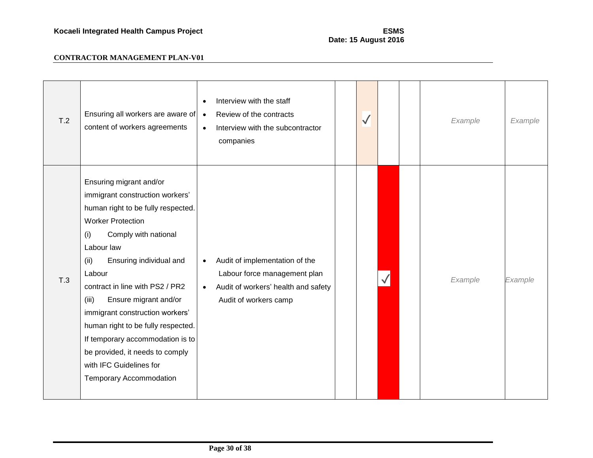| T.2 | Ensuring all workers are aware of<br>content of workers agreements                                                                                                                                                                                                                                                                                                                                                                                                                                       | Interview with the staff<br>Review of the contracts<br>$\bullet$<br>Interview with the subcontractor<br>$\bullet$<br>companies                           | $\sqrt{}$ |  | Example | Example |
|-----|----------------------------------------------------------------------------------------------------------------------------------------------------------------------------------------------------------------------------------------------------------------------------------------------------------------------------------------------------------------------------------------------------------------------------------------------------------------------------------------------------------|----------------------------------------------------------------------------------------------------------------------------------------------------------|-----------|--|---------|---------|
| T.3 | Ensuring migrant and/or<br>immigrant construction workers'<br>human right to be fully respected.<br><b>Worker Protection</b><br>Comply with national<br>(i)<br>Labour law<br>Ensuring individual and<br>(ii)<br>Labour<br>contract in line with PS2 / PR2<br>Ensure migrant and/or<br>(iii)<br>immigrant construction workers'<br>human right to be fully respected.<br>If temporary accommodation is to<br>be provided, it needs to comply<br>with IFC Guidelines for<br><b>Temporary Accommodation</b> | Audit of implementation of the<br>$\bullet$<br>Labour force management plan<br>Audit of workers' health and safety<br>$\bullet$<br>Audit of workers camp |           |  | Example | Example |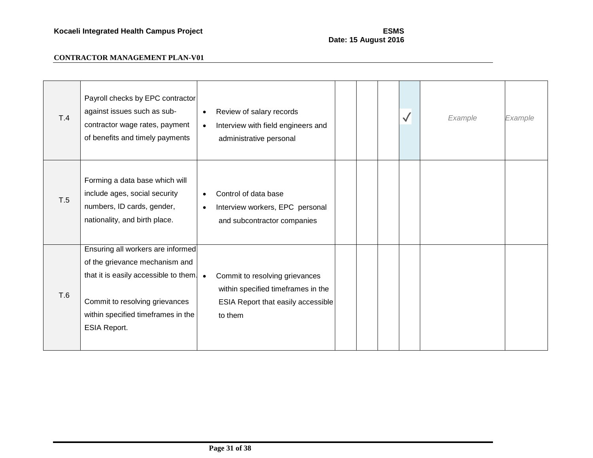Commit to taking action to

| T.4 | Payroll checks by EPC contractor<br>against issues such as sub-<br>contractor wage rates, payment<br>of benefits and timely payments                                                                        | Review of salary records<br>$\bullet$<br>Interview with field engineers and<br>$\bullet$<br>administrative personal                |  | $\checkmark$ | Example | Example |
|-----|-------------------------------------------------------------------------------------------------------------------------------------------------------------------------------------------------------------|------------------------------------------------------------------------------------------------------------------------------------|--|--------------|---------|---------|
| T.5 | Forming a data base which will<br>include ages, social security<br>numbers, ID cards, gender,<br>nationality, and birth place.                                                                              | Control of data base<br>$\bullet$<br>Interview workers, EPC personal<br>$\bullet$<br>and subcontractor companies                   |  |              |         |         |
| T.6 | Ensuring all workers are informed<br>of the grievance mechanism and<br>that it is easily accessible to them.<br>Commit to resolving grievances<br>within specified timeframes in the<br><b>ESIA Report.</b> | Commit to resolving grievances<br>$\bullet$<br>within specified timeframes in the<br>ESIA Report that easily accessible<br>to them |  |              |         |         |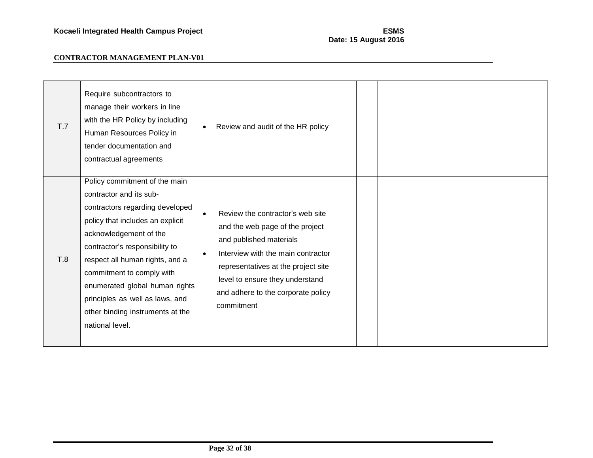| T.7 | Require subcontractors to<br>manage their workers in line<br>with the HR Policy by including<br>Human Resources Policy in<br>tender documentation and<br>contractual agreements                                                                                                                                                                                                         | Review and audit of the HR policy<br>$\bullet$                                                                                                                                                                                                                                               |
|-----|-----------------------------------------------------------------------------------------------------------------------------------------------------------------------------------------------------------------------------------------------------------------------------------------------------------------------------------------------------------------------------------------|----------------------------------------------------------------------------------------------------------------------------------------------------------------------------------------------------------------------------------------------------------------------------------------------|
| T.8 | Policy commitment of the main<br>contractor and its sub-<br>contractors regarding developed<br>policy that includes an explicit<br>acknowledgement of the<br>contractor's responsibility to<br>respect all human rights, and a<br>commitment to comply with<br>enumerated global human rights<br>principles as well as laws, and<br>other binding instruments at the<br>national level. | Review the contractor's web site<br>$\bullet$<br>and the web page of the project<br>and published materials<br>Interview with the main contractor<br>$\bullet$<br>representatives at the project site<br>level to ensure they understand<br>and adhere to the corporate policy<br>commitment |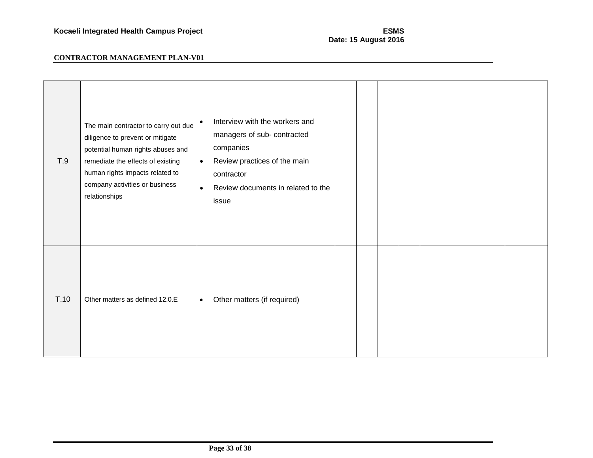| T.9  | The main contractor to carry out due<br>diligence to prevent or mitigate<br>potential human rights abuses and<br>remediate the effects of existing<br>human rights impacts related to<br>company activities or business<br>relationships | Interview with the workers and<br>$\bullet$<br>managers of sub- contracted<br>companies<br>Review practices of the main<br>$\bullet$<br>contractor<br>Review documents in related to the<br>$\bullet$<br>issue |  |
|------|------------------------------------------------------------------------------------------------------------------------------------------------------------------------------------------------------------------------------------------|----------------------------------------------------------------------------------------------------------------------------------------------------------------------------------------------------------------|--|
| T.10 | Other matters as defined 12.0.E                                                                                                                                                                                                          | Other matters (if required)<br>$\bullet$                                                                                                                                                                       |  |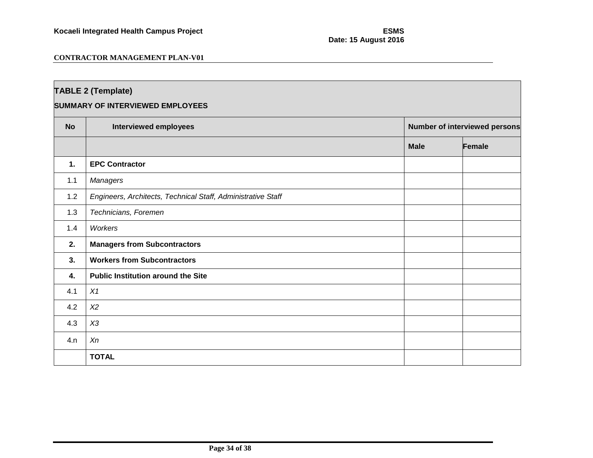| <b>TABLE 2 (Template)</b>               |                                                              |             |                               |  |  |  |  |  |
|-----------------------------------------|--------------------------------------------------------------|-------------|-------------------------------|--|--|--|--|--|
| <b>SUMMARY OF INTERVIEWED EMPLOYEES</b> |                                                              |             |                               |  |  |  |  |  |
| <b>No</b>                               | <b>Interviewed employees</b>                                 |             | Number of interviewed persons |  |  |  |  |  |
|                                         |                                                              | <b>Male</b> | Female                        |  |  |  |  |  |
| 1.                                      | <b>EPC Contractor</b>                                        |             |                               |  |  |  |  |  |
| 1.1                                     | Managers                                                     |             |                               |  |  |  |  |  |
| 1.2                                     | Engineers, Architects, Technical Staff, Administrative Staff |             |                               |  |  |  |  |  |
| 1.3                                     | Technicians, Foremen                                         |             |                               |  |  |  |  |  |
| 1.4                                     | Workers                                                      |             |                               |  |  |  |  |  |
| 2.                                      | <b>Managers from Subcontractors</b>                          |             |                               |  |  |  |  |  |
| 3.                                      | <b>Workers from Subcontractors</b>                           |             |                               |  |  |  |  |  |
| 4.                                      | <b>Public Institution around the Site</b>                    |             |                               |  |  |  |  |  |
| 4.1                                     | X1                                                           |             |                               |  |  |  |  |  |
| 4.2                                     | X <sub>2</sub>                                               |             |                               |  |  |  |  |  |
| 4.3                                     | X3                                                           |             |                               |  |  |  |  |  |
| 4.n                                     | Xn                                                           |             |                               |  |  |  |  |  |
|                                         | <b>TOTAL</b>                                                 |             |                               |  |  |  |  |  |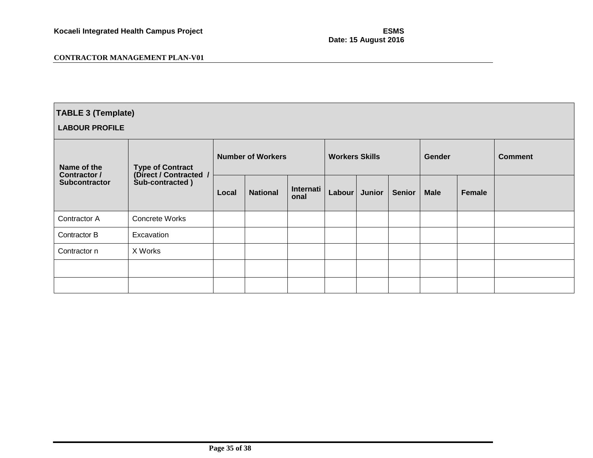| <b>TABLE 3 (Template)</b>                                  |                                                                      |                          |                 |                   |                       |        |               |               |               |                |
|------------------------------------------------------------|----------------------------------------------------------------------|--------------------------|-----------------|-------------------|-----------------------|--------|---------------|---------------|---------------|----------------|
| <b>LABOUR PROFILE</b>                                      |                                                                      |                          |                 |                   |                       |        |               |               |               |                |
| Name of the<br><b>Contractor /</b><br><b>Subcontractor</b> | <b>Type of Contract</b><br>(Direct / Contracted /<br>Sub-contracted) | <b>Number of Workers</b> |                 |                   | <b>Workers Skills</b> |        |               | <b>Gender</b> |               | <b>Comment</b> |
|                                                            |                                                                      | Local                    | <b>National</b> | Internati<br>onal | Labour                | Junior | <b>Senior</b> | <b>Male</b>   | <b>Female</b> |                |
| Contractor A                                               | <b>Concrete Works</b>                                                |                          |                 |                   |                       |        |               |               |               |                |
| Contractor B                                               | Excavation                                                           |                          |                 |                   |                       |        |               |               |               |                |
| Contractor n                                               | X Works                                                              |                          |                 |                   |                       |        |               |               |               |                |
|                                                            |                                                                      |                          |                 |                   |                       |        |               |               |               |                |
|                                                            |                                                                      |                          |                 |                   |                       |        |               |               |               |                |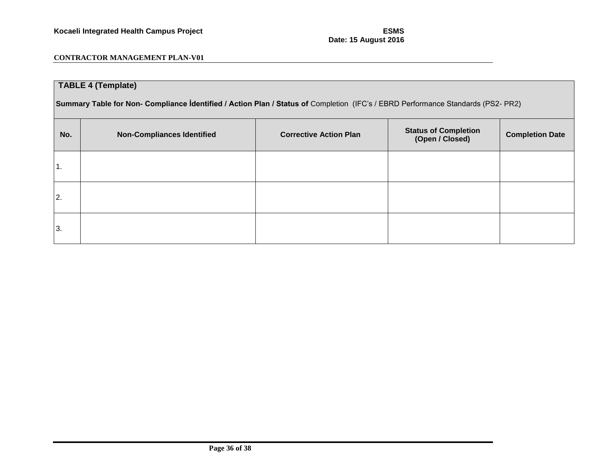| <b>TABLE 4 (Template)</b>                                                                                                        |                                   |                               |                                                |                        |
|----------------------------------------------------------------------------------------------------------------------------------|-----------------------------------|-------------------------------|------------------------------------------------|------------------------|
| Summary Table for Non- Compliance Identified / Action Plan / Status of Completion (IFC's / EBRD Performance Standards (PS2- PR2) |                                   |                               |                                                |                        |
| No.                                                                                                                              | <b>Non-Compliances Identified</b> | <b>Corrective Action Plan</b> | <b>Status of Completion</b><br>(Open / Closed) | <b>Completion Date</b> |
| 1.                                                                                                                               |                                   |                               |                                                |                        |
| 2.                                                                                                                               |                                   |                               |                                                |                        |
| 3.                                                                                                                               |                                   |                               |                                                |                        |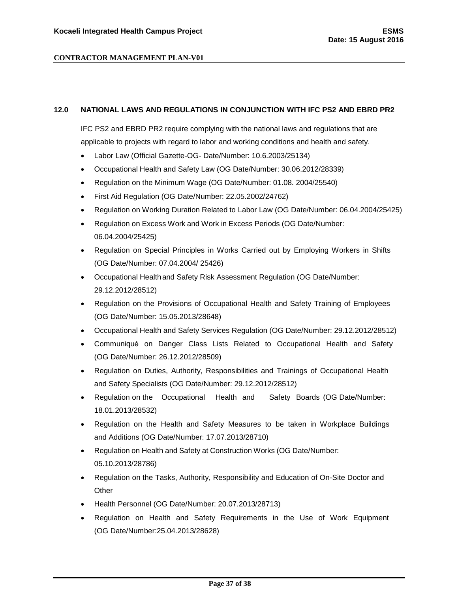#### <span id="page-36-0"></span>**12.0 NATIONAL LAWS AND REGULATIONS IN CONJUNCTION WITH IFC PS2 AND EBRD PR2**

IFC PS2 and EBRD PR2 require complying with the national laws and regulations that are applicable to projects with regard to labor and working conditions and health and safety.

- Labor Law (Official Gazette-OG- Date/Number: 10.6.2003/25134)
- Occupational Health and Safety Law (OG Date/Number: 30.06.2012/28339)
- Regulation on the Minimum Wage (OG Date/Number: 01.08. 2004/25540)
- First Aid Regulation (OG Date/Number: 22.05.2002/24762)
- Regulation on Working Duration Related to Labor Law (OG Date/Number: 06.04.2004/25425)
- Regulation on Excess Work and Work in Excess Periods (OG Date/Number: 06.04.2004/25425)
- Regulation on Special Principles in Works Carried out by Employing Workers in Shifts (OG Date/Number: 07.04.2004/ 25426)
- Occupational Healthand Safety Risk Assessment Regulation (OG Date/Number: 29.12.2012/28512)
- Regulation on the Provisions of Occupational Health and Safety Training of Employees (OG Date/Number: 15.05.2013/28648)
- Occupational Health and Safety Services Regulation (OG Date/Number: 29.12.2012/28512)
- Communiqué on Danger Class Lists Related to Occupational Health and Safety (OG Date/Number: 26.12.2012/28509)
- Regulation on Duties, Authority, Responsibilities and Trainings of Occupational Health and Safety Specialists (OG Date/Number: 29.12.2012/28512)
- Regulation on the Occupational Health and Safety Boards (OG Date/Number: 18.01.2013/28532)
- Regulation on the Health and Safety Measures to be taken in Workplace Buildings and Additions (OG Date/Number: 17.07.2013/28710)
- Regulation on Health and Safety at Construction Works (OG Date/Number: 05.10.2013/28786)
- Regulation on the Tasks, Authority, Responsibility and Education of On-Site Doctor and **Other**
- Health Personnel (OG Date/Number: 20.07.2013/28713)
- Regulation on Health and Safety Requirements in the Use of Work Equipment (OG Date/Number:25.04.2013/28628)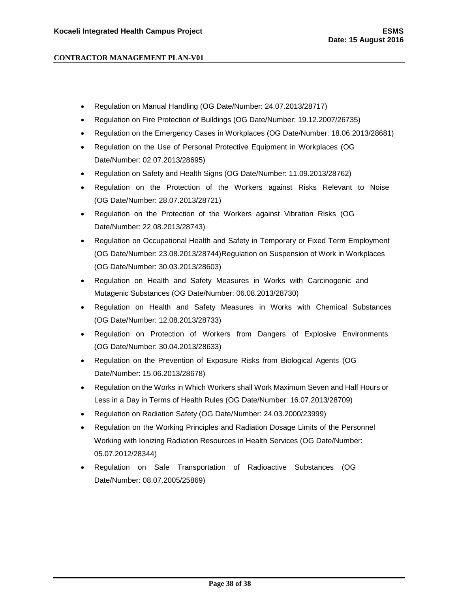- Regulation on Manual Handling (OG Date/Number: 24.07.2013/28717)
- Regulation on Fire Protection of Buildings (OG Date/Number: 19.12.2007/26735)
- Regulation on the Emergency Cases in Workplaces (OG Date/Number: 18.06.2013/28681)
- Regulation on the Use of Personal Protective Equipment in Workplaces (OG Date/Number: 02.07.2013/28695)
- Regulation on Safety and Health Signs (OG Date/Number: 11.09.2013/28762)
- Regulation on the Protection of the Workers against Risks Relevant to Noise (OG Date/Number: 28.07.2013/28721)
- Regulation on the Protection of the Workers against Vibration Risks (OG Date/Number: 22.08.2013/28743)
- Regulation on Occupational Health and Safety in Temporary or Fixed Term Employment (OG Date/Number: 23.08.2013/28744)Regulation on Suspension of Work in Workplaces (OG Date/Number: 30.03.2013/28603)
- Regulation on Health and Safety Measures in Works with Carcinogenic and Mutagenic Substances (OG Date/Number: 06.08.2013/28730)
- Regulation on Health and Safety Measures in Works with Chemical Substances (OG Date/Number: 12.08.2013/28733)
- Regulation on Protection of Workers from Dangers of Explosive Environments (OG Date/Number: 30.04.2013/28633)
- Regulation on the Prevention of Exposure Risks from Biological Agents (OG Date/Number: 15.06.2013/28678)
- Regulation on the Works in Which Workers shall Work Maximum Seven and Half Hours or Less in a Day in Terms of Health Rules (OG Date/Number: 16.07.2013/28709)
- Regulation on Radiation Safety (OG Date/Number: 24.03.2000/23999)
- Regulation on the Working Principles and Radiation Dosage Limits of the Personnel Working with Ionizing Radiation Resources in Health Services (OG Date/Number: 05.07.2012/28344)
- Regulation on Safe Transportation of Radioactive Substances (OG Date/Number: 08.07.2005/25869)